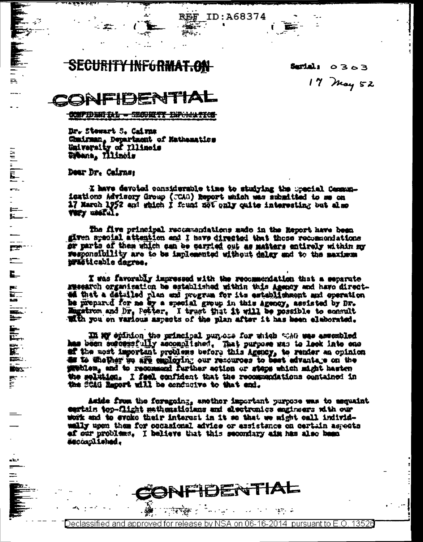SECURI I<del>NFGRMAT.ON</del>

**REF** 

غان .  $\overleftrightarrow{z_1}$  ,  $\overleftrightarrow{z_1}$  ,  $\overleftrightarrow{z_2}$  ID:A68374

Serial:  $0303$ 17 May 52

-IBE स्त्र

CONFIDENTIAL - SECURITY INFORMATION

Dr. Stewart S. Cairns Chmirman, Department of Mathematics<br>University of Illinois<br>Upbana, Illinois

Dear Dr. Cairns:

 $\mathbf{R}$ 

 $\frac{1}{2}$  (Eq. )  $\frac{1}{2}$ 

 $\begin{bmatrix} 1 & 0 \\ 0 & 1 \\ 0 & 1 \end{bmatrix}$ 

 $\frac{1}{\sqrt{2}}$ 

 $\Gamma$ 

**READERS** 

 $\begin{array}{c}\nA \\
E \\
E\n\end{array}$ 

أساله

 $=$ 

I have devoted considerable time to studying the special Communications Advisory Group (CCAG) Report which was submitted to me on 17 March 1952 and which I frund mot only quite interesting but also **VIET UNITAL.** 

The five principal recommendations made in the Esport have been given special attention and I have directed that those recommondations or parts of them which can be carried out as matters entirely within my responsibility are to be implemented without datay and to the maximum prasticable dagree.

I was favorably impressed with the recommendation that a separate sweekroh organisation be established within this Agency and have directed that a detailed plan and program for its establishment and operation he prepared for me by a special group in this agency, assisted by Dr. Enginon and Dr. Potter. I trust that it will be possible to consult With you on various aspects of the plan after it has been elaborated.

In My epinion the principal purses for which was use assembled has been successfully accomplished. That purpose was to look into one af the most important problems before this Agency, to render an opinion on to sheller be are employing our resources to best advantage on the problem, and to recommend further action or steps which might hasten the seletion. I feel confident that the recommendations contained in the SCAG Report will be conducive to that end.

Aside from the foregoing, another important purpose was to mequaint eartain top-flight mathematicians and electronics engineers with our work and to evoke their interest in it se that we wight call individwally upon them for occasional advice or essistance on certain aspects ef our problems. I believe that this secondary aim has also been escomuliened.

Declassified and approved for release by NSA on 06-16-2014 pursuant to E.O. 13526

in an

ा क्यूबर स्

IFIDENTIAL

in territoria